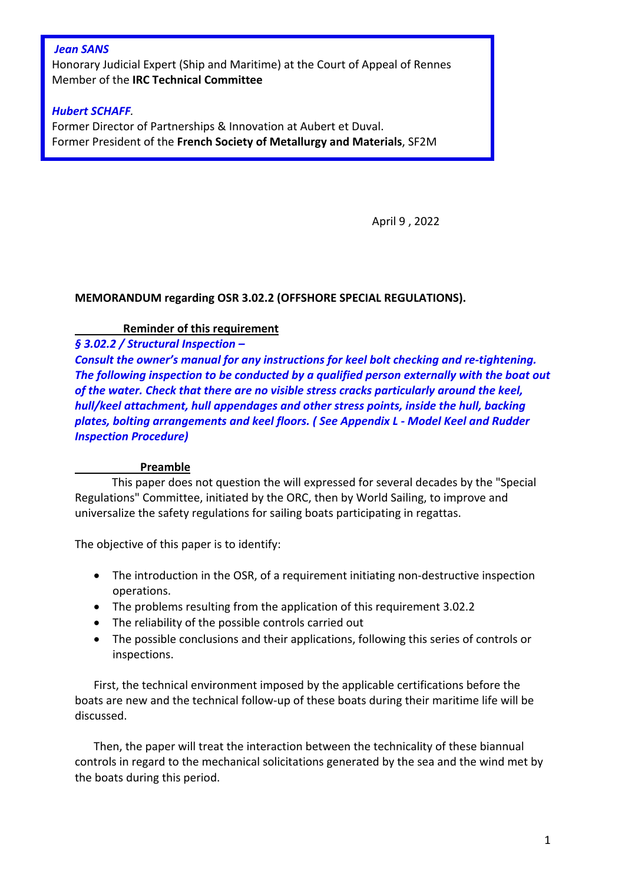## *Jean SANS*

Honorary Judicial Expert (Ship and Maritime) at the Court of Appeal of Rennes Member of the **IRC Technical Committee**

## *Hubert SCHAFF.*

Former Director of Partnerships & Innovation at Aubert et Duval. Former President of the **French Society of Metallurgy and Materials**, SF2M

April 9 , 2022

## **MEMORANDUM regarding OSR 3.02.2 (OFFSHORE SPECIAL REGULATIONS).**

## **Reminder of this requirement**

*§ 3.02.2 / Structural Inspection –*

*Consult the owner's manual for any instructions for keel bolt checking and re-tightening. The following inspection to be conducted by a qualified person externally with the boat out of the water. Check that there are no visible stress cracks particularly around the keel, hull/keel attachment, hull appendages and other stress points, inside the hull, backing plates, bolting arrangements and keel floors. ( See Appendix L - Model Keel and Rudder Inspection Procedure)* 

#### **Preamble**

This paper does not question the will expressed for several decades by the "Special Regulations" Committee, initiated by the ORC, then by World Sailing, to improve and universalize the safety regulations for sailing boats participating in regattas.

The objective of this paper is to identify:

- The introduction in the OSR, of a requirement initiating non-destructive inspection operations.
- The problems resulting from the application of this requirement 3.02.2
- The reliability of the possible controls carried out
- The possible conclusions and their applications, following this series of controls or inspections.

First, the technical environment imposed by the applicable certifications before the boats are new and the technical follow-up of these boats during their maritime life will be discussed.

Then, the paper will treat the interaction between the technicality of these biannual controls in regard to the mechanical solicitations generated by the sea and the wind met by the boats during this period.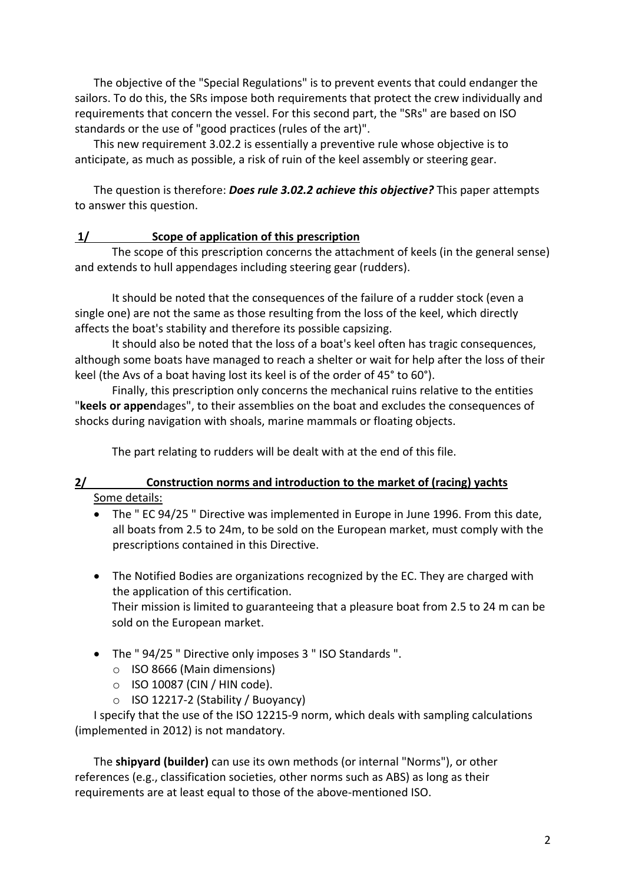The objective of the "Special Regulations" is to prevent events that could endanger the sailors. To do this, the SRs impose both requirements that protect the crew individually and requirements that concern the vessel. For this second part, the "SRs" are based on ISO standards or the use of "good practices (rules of the art)".

This new requirement 3.02.2 is essentially a preventive rule whose objective is to anticipate, as much as possible, a risk of ruin of the keel assembly or steering gear.

The question is therefore: *Does rule 3.02.2 achieve this objective?* This paper attempts to answer this question.

## **1/ Scope of application of this prescription**

The scope of this prescription concerns the attachment of keels (in the general sense) and extends to hull appendages including steering gear (rudders).

It should be noted that the consequences of the failure of a rudder stock (even a single one) are not the same as those resulting from the loss of the keel, which directly affects the boat's stability and therefore its possible capsizing.

It should also be noted that the loss of a boat's keel often has tragic consequences, although some boats have managed to reach a shelter or wait for help after the loss of their keel (the Avs of a boat having lost its keel is of the order of 45° to 60°).

Finally, this prescription only concerns the mechanical ruins relative to the entities "**keels or appen**dages", to their assemblies on the boat and excludes the consequences of shocks during navigation with shoals, marine mammals or floating objects.

The part relating to rudders will be dealt with at the end of this file.

# **2/ Construction norms and introduction to the market of (racing) yachts** Some details:

- The " EC 94/25 " Directive was implemented in Europe in June 1996. From this date, all boats from 2.5 to 24m, to be sold on the European market, must comply with the prescriptions contained in this Directive.
- The Notified Bodies are organizations recognized by the EC. They are charged with the application of this certification.

Their mission is limited to guaranteeing that a pleasure boat from 2.5 to 24 m can be sold on the European market.

- The " 94/25 " Directive only imposes 3 " ISO Standards ".
	- o ISO 8666 (Main dimensions)
	- o ISO 10087 (CIN / HIN code).
	- o ISO 12217-2 (Stability / Buoyancy)

I specify that the use of the ISO 12215-9 norm, which deals with sampling calculations (implemented in 2012) is not mandatory.

The **shipyard (builder)** can use its own methods (or internal "Norms"), or other references (e.g., classification societies, other norms such as ABS) as long as their requirements are at least equal to those of the above-mentioned ISO.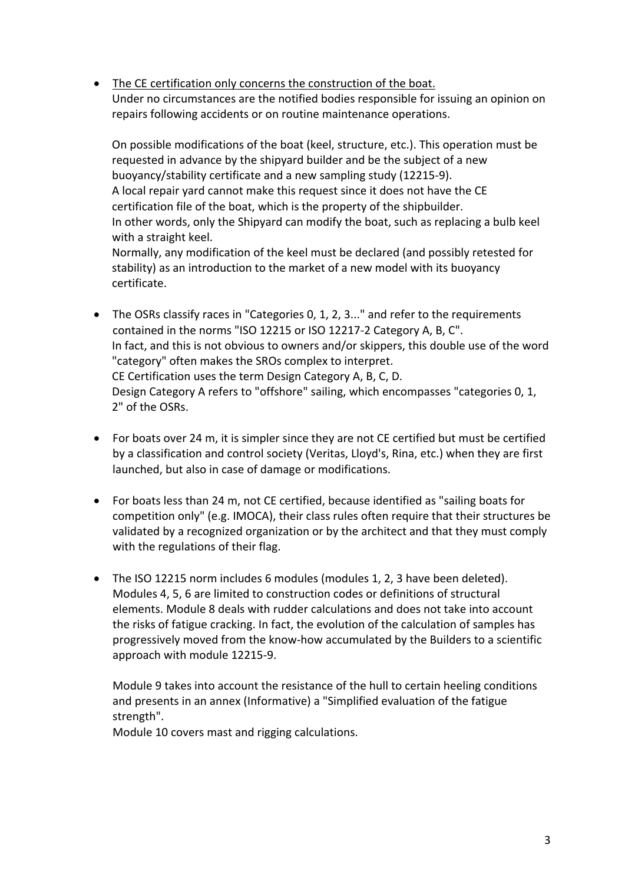• The CE certification only concerns the construction of the boat. Under no circumstances are the notified bodies responsible for issuing an opinion on repairs following accidents or on routine maintenance operations.

On possible modifications of the boat (keel, structure, etc.). This operation must be requested in advance by the shipyard builder and be the subject of a new buoyancy/stability certificate and a new sampling study (12215-9). A local repair yard cannot make this request since it does not have the CE certification file of the boat, which is the property of the shipbuilder. In other words, only the Shipyard can modify the boat, such as replacing a bulb keel with a straight keel. Normally, any modification of the keel must be declared (and possibly retested for stability) as an introduction to the market of a new model with its buoyancy

certificate.

- The OSRs classify races in "Categories 0, 1, 2, 3..." and refer to the requirements contained in the norms "ISO 12215 or ISO 12217-2 Category A, B, C". In fact, and this is not obvious to owners and/or skippers, this double use of the word "category" often makes the SROs complex to interpret. CE Certification uses the term Design Category A, B, C, D. Design Category A refers to "offshore" sailing, which encompasses "categories 0, 1, 2" of the OSRs.
- For boats over 24 m, it is simpler since they are not CE certified but must be certified by a classification and control society (Veritas, Lloyd's, Rina, etc.) when they are first launched, but also in case of damage or modifications.
- For boats less than 24 m, not CE certified, because identified as "sailing boats for competition only" (e.g. IMOCA), their class rules often require that their structures be validated by a recognized organization or by the architect and that they must comply with the regulations of their flag.
- The ISO 12215 norm includes 6 modules (modules 1, 2, 3 have been deleted). Modules 4, 5, 6 are limited to construction codes or definitions of structural elements. Module 8 deals with rudder calculations and does not take into account the risks of fatigue cracking. In fact, the evolution of the calculation of samples has progressively moved from the know-how accumulated by the Builders to a scientific approach with module 12215-9.

Module 9 takes into account the resistance of the hull to certain heeling conditions and presents in an annex (Informative) a "Simplified evaluation of the fatigue strength".

Module 10 covers mast and rigging calculations.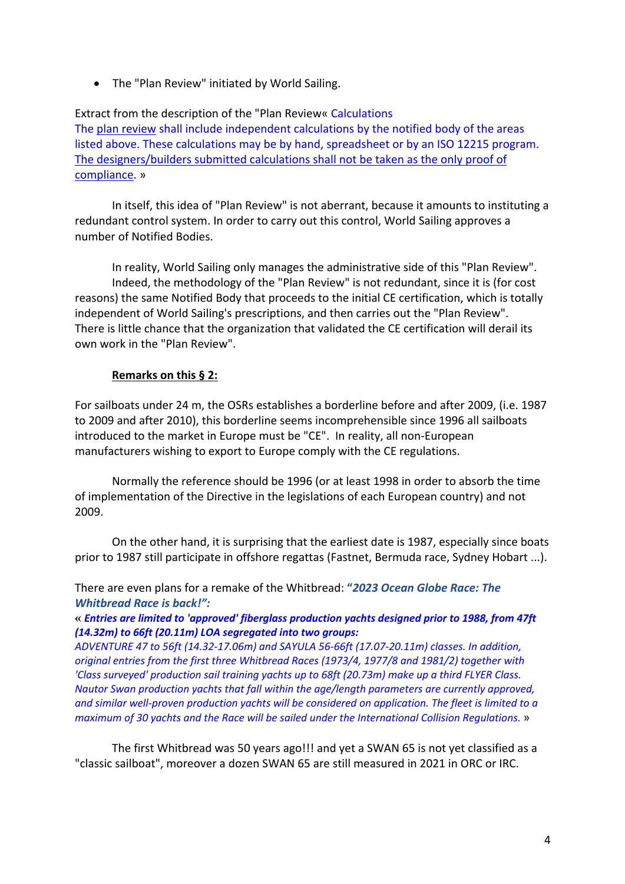• The "Plan Review" initiated by World Sailing.

Extract from the description of the "Plan Review« Calculations The plan review shall include independent calculations by the notified body of the areas listed above. These calculations may be by hand, spreadsheet or by an ISO 12215 program. The designers/builders submitted calculations shall not be taken as the only proof of compliance. »

In itself, this idea of "Plan Review" is not aberrant, because it amounts to instituting a redundant control system. In order to carry out this control, World Sailing approves a number of Notified Bodies.

In reality, World Sailing only manages the administrative side of this "Plan Review". Indeed, the methodology of the "Plan Review" is not redundant, since it is (for cost reasons) the same Notified Body that proceeds to the initial CE certification, which is totally independent of World Sailing's prescriptions, and then carries out the "Plan Review". There is little chance that the organization that validated the CE certification will derail its own work in the "Plan Review".

## **Remarks on this § 2:**

For sailboats under 24 m, the OSRs establishes a borderline before and after 2009, (i.e. 1987 to 2009 and after 2010), this borderline seems incomprehensible since 1996 all sailboats introduced to the market in Europe must be "CE". In reality, all non-European manufacturers wishing to export to Europe comply with the CE regulations.

Normally the reference should be 1996 (or at least 1998 in order to absorb the time of implementation of the Directive in the legislations of each European country) and not 2009.

On the other hand, it is surprising that the earliest date is 1987, especially since boats prior to 1987 still participate in offshore regattas (Fastnet, Bermuda race, Sydney Hobart ...).

There are even plans for a remake of the Whitbread: **"***2023 Ocean Globe Race: The Whitbread Race is back!":*

**«** *Entries are limited to 'approved' fiberglass production yachts designed prior to 1988, from 47ft (14.32m) to 66ft (20.11m) LOA segregated into two groups:*

*ADVENTURE 47 to 56ft (14.32-17.06m) and SAYULA 56-66ft (17.07-20.11m) classes. In addition, original entries from the first three Whitbread Races (1973/4, 1977/8 and 1981/2) together with 'Class surveyed' production sail training yachts up to 68ft (20.73m) make up a third FLYER Class. Nautor Swan production yachts that fall within the age/length parameters are currently approved, and similar well-proven production yachts will be considered on application. The fleet is limited to a maximum of 30 yachts and the Race will be sailed under the International Collision Regulations.* »

The first Whitbread was 50 years ago!!! and yet a SWAN 65 is not yet classified as a "classic sailboat", moreover a dozen SWAN 65 are still measured in 2021 in ORC or IRC.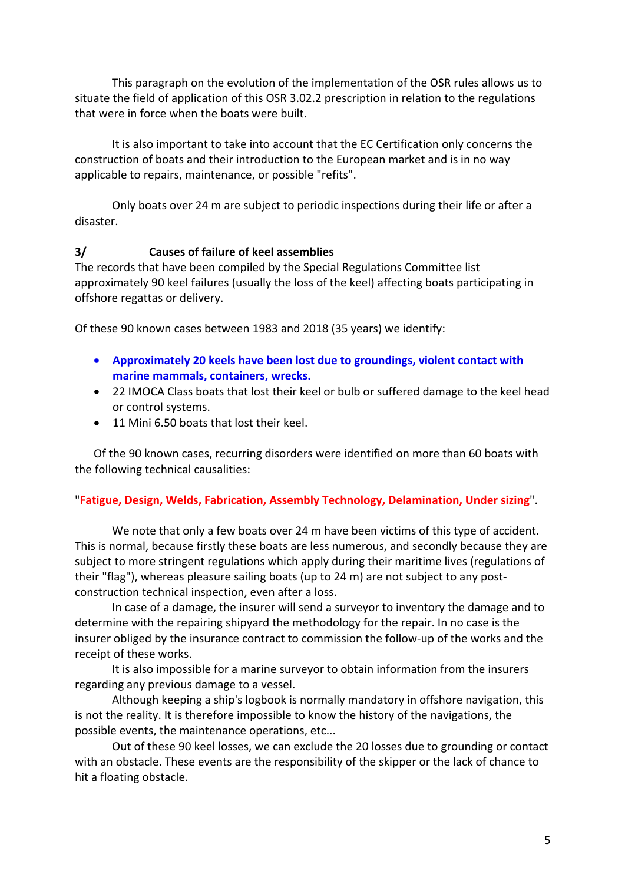This paragraph on the evolution of the implementation of the OSR rules allows us to situate the field of application of this OSR 3.02.2 prescription in relation to the regulations that were in force when the boats were built.

It is also important to take into account that the EC Certification only concerns the construction of boats and their introduction to the European market and is in no way applicable to repairs, maintenance, or possible "refits".

Only boats over 24 m are subject to periodic inspections during their life or after a disaster.

## **3/ Causes of failure of keel assemblies**

The records that have been compiled by the Special Regulations Committee list approximately 90 keel failures (usually the loss of the keel) affecting boats participating in offshore regattas or delivery.

Of these 90 known cases between 1983 and 2018 (35 years) we identify:

- **Approximately 20 keels have been lost due to groundings, violent contact with marine mammals, containers, wrecks.**
- 22 IMOCA Class boats that lost their keel or bulb or suffered damage to the keel head or control systems.
- 11 Mini 6.50 boats that lost their keel.

Of the 90 known cases, recurring disorders were identified on more than 60 boats with the following technical causalities:

#### "**Fatigue, Design, Welds, Fabrication, Assembly Technology, Delamination, Under sizing**".

We note that only a few boats over 24 m have been victims of this type of accident. This is normal, because firstly these boats are less numerous, and secondly because they are subject to more stringent regulations which apply during their maritime lives (regulations of their "flag"), whereas pleasure sailing boats (up to 24 m) are not subject to any postconstruction technical inspection, even after a loss.

In case of a damage, the insurer will send a surveyor to inventory the damage and to determine with the repairing shipyard the methodology for the repair. In no case is the insurer obliged by the insurance contract to commission the follow-up of the works and the receipt of these works.

It is also impossible for a marine surveyor to obtain information from the insurers regarding any previous damage to a vessel.

Although keeping a ship's logbook is normally mandatory in offshore navigation, this is not the reality. It is therefore impossible to know the history of the navigations, the possible events, the maintenance operations, etc...

Out of these 90 keel losses, we can exclude the 20 losses due to grounding or contact with an obstacle. These events are the responsibility of the skipper or the lack of chance to hit a floating obstacle.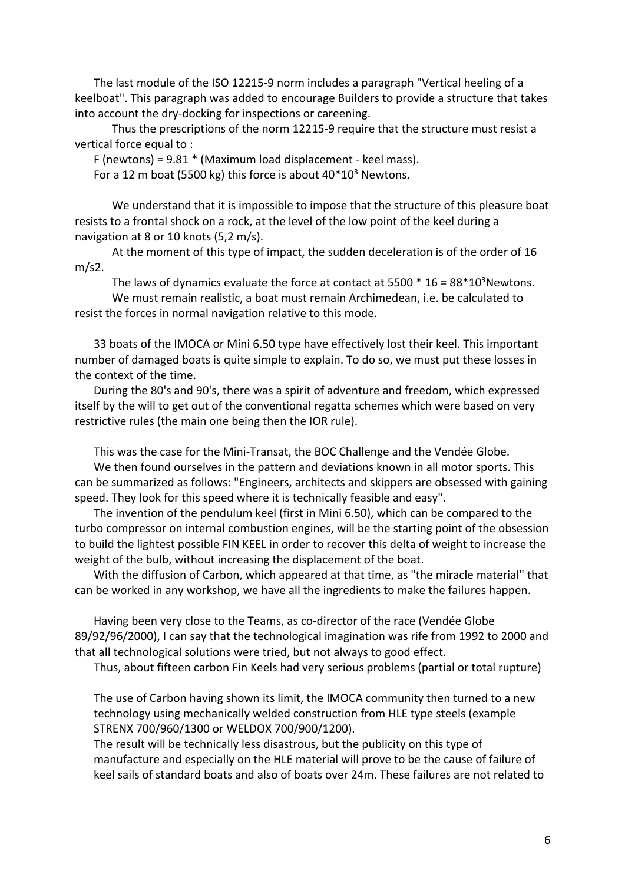The last module of the ISO 12215-9 norm includes a paragraph "Vertical heeling of a keelboat". This paragraph was added to encourage Builders to provide a structure that takes into account the dry-docking for inspections or careening.

Thus the prescriptions of the norm 12215-9 require that the structure must resist a vertical force equal to :

F (newtons) = 9.81 \* (Maximum load displacement - keel mass).

For a 12 m boat (5500 kg) this force is about  $40*10<sup>3</sup>$  Newtons.

 We understand that it is impossible to impose that the structure of this pleasure boat resists to a frontal shock on a rock, at the level of the low point of the keel during a navigation at 8 or 10 knots (5,2 m/s).

At the moment of this type of impact, the sudden deceleration is of the order of 16 m/s2.

The laws of dynamics evaluate the force at contact at 5500  $*$  16 = 88 $*10<sup>3</sup>$ Newtons.

We must remain realistic, a boat must remain Archimedean, i.e. be calculated to resist the forces in normal navigation relative to this mode.

33 boats of the IMOCA or Mini 6.50 type have effectively lost their keel. This important number of damaged boats is quite simple to explain. To do so, we must put these losses in the context of the time.

During the 80's and 90's, there was a spirit of adventure and freedom, which expressed itself by the will to get out of the conventional regatta schemes which were based on very restrictive rules (the main one being then the IOR rule).

This was the case for the Mini-Transat, the BOC Challenge and the Vendée Globe.

We then found ourselves in the pattern and deviations known in all motor sports. This can be summarized as follows: "Engineers, architects and skippers are obsessed with gaining speed. They look for this speed where it is technically feasible and easy".

The invention of the pendulum keel (first in Mini 6.50), which can be compared to the turbo compressor on internal combustion engines, will be the starting point of the obsession to build the lightest possible FIN KEEL in order to recover this delta of weight to increase the weight of the bulb, without increasing the displacement of the boat.

With the diffusion of Carbon, which appeared at that time, as "the miracle material" that can be worked in any workshop, we have all the ingredients to make the failures happen.

Having been very close to the Teams, as co-director of the race (Vendée Globe 89/92/96/2000), I can say that the technological imagination was rife from 1992 to 2000 and that all technological solutions were tried, but not always to good effect.

Thus, about fifteen carbon Fin Keels had very serious problems (partial or total rupture)

The use of Carbon having shown its limit, the IMOCA community then turned to a new technology using mechanically welded construction from HLE type steels (example STRENX 700/960/1300 or WELDOX 700/900/1200).

The result will be technically less disastrous, but the publicity on this type of manufacture and especially on the HLE material will prove to be the cause of failure of keel sails of standard boats and also of boats over 24m. These failures are not related to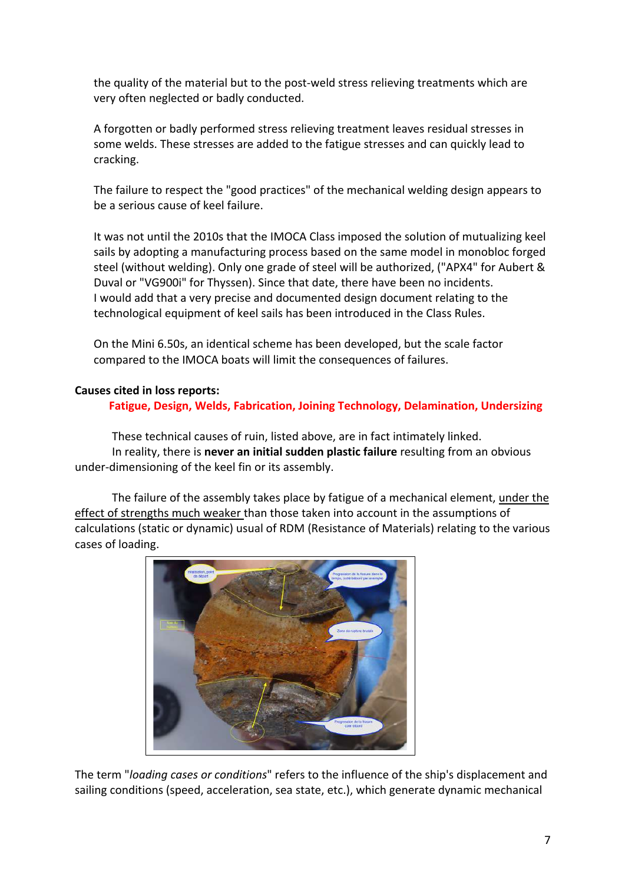the quality of the material but to the post-weld stress relieving treatments which are very often neglected or badly conducted.

A forgotten or badly performed stress relieving treatment leaves residual stresses in some welds. These stresses are added to the fatigue stresses and can quickly lead to cracking.

The failure to respect the "good practices" of the mechanical welding design appears to be a serious cause of keel failure.

It was not until the 2010s that the IMOCA Class imposed the solution of mutualizing keel sails by adopting a manufacturing process based on the same model in monobloc forged steel (without welding). Only one grade of steel will be authorized, ("APX4" for Aubert & Duval or "VG900i" for Thyssen). Since that date, there have been no incidents. I would add that a very precise and documented design document relating to the technological equipment of keel sails has been introduced in the Class Rules.

On the Mini 6.50s, an identical scheme has been developed, but the scale factor compared to the IMOCA boats will limit the consequences of failures.

## **Causes cited in loss reports:**

 **Fatigue, Design, Welds, Fabrication, Joining Technology, Delamination, Undersizing**

These technical causes of ruin, listed above, are in fact intimately linked. In reality, there is **never an initial sudden plastic failure** resulting from an obvious under-dimensioning of the keel fin or its assembly.

The failure of the assembly takes place by fatigue of a mechanical element, under the effect of strengths much weaker than those taken into account in the assumptions of calculations (static or dynamic) usual of RDM (Resistance of Materials) relating to the various cases of loading.



The term "*loading cases or conditions*" refers to the influence of the ship's displacement and sailing conditions (speed, acceleration, sea state, etc.), which generate dynamic mechanical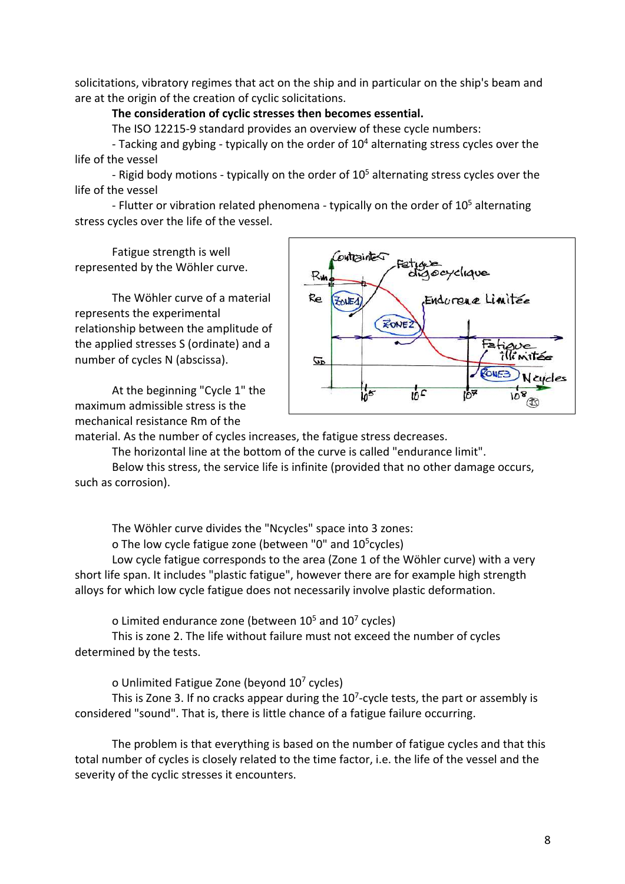solicitations, vibratory regimes that act on the ship and in particular on the ship's beam and are at the origin of the creation of cyclic solicitations.

## **The consideration of cyclic stresses then becomes essential.**

The ISO 12215-9 standard provides an overview of these cycle numbers:

- Tacking and gybing - typically on the order of 104 alternating stress cycles over the life of the vessel

- Rigid body motions - typically on the order of  $10<sup>5</sup>$  alternating stress cycles over the life of the vessel

- Flutter or vibration related phenomena - typically on the order of  $10<sup>5</sup>$  alternating stress cycles over the life of the vessel.

Fatigue strength is well represented by the Wöhler curve.

The Wöhler curve of a material represents the experimental relationship between the amplitude of the applied stresses S (ordinate) and a number of cycles N (abscissa).

At the beginning "Cycle 1" the maximum admissible stress is the mechanical resistance Rm of the



material. As the number of cycles increases, the fatigue stress decreases.

The horizontal line at the bottom of the curve is called "endurance limit".

Below this stress, the service life is infinite (provided that no other damage occurs, such as corrosion).

The Wöhler curve divides the "Ncycles" space into 3 zones:

o The low cycle fatigue zone (between "0" and 10<sup>5</sup>cycles)

Low cycle fatigue corresponds to the area (Zone 1 of the Wöhler curve) with a very short life span. It includes "plastic fatigue", however there are for example high strength alloys for which low cycle fatigue does not necessarily involve plastic deformation.

o Limited endurance zone (between  $10^5$  and  $10^7$  cycles)

This is zone 2. The life without failure must not exceed the number of cycles determined by the tests.

o Unlimited Fatigue Zone (beyond 107 cycles)

This is Zone 3. If no cracks appear during the  $10<sup>7</sup>$ -cycle tests, the part or assembly is considered "sound". That is, there is little chance of a fatigue failure occurring.

The problem is that everything is based on the number of fatigue cycles and that this total number of cycles is closely related to the time factor, i.e. the life of the vessel and the severity of the cyclic stresses it encounters.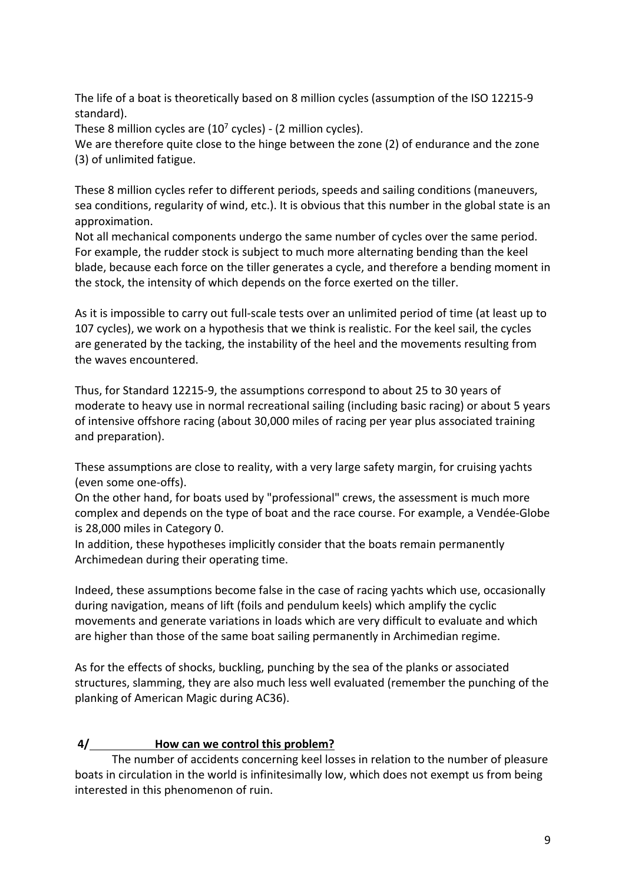The life of a boat is theoretically based on 8 million cycles (assumption of the ISO 12215-9 standard).

These 8 million cycles are  $(10<sup>7</sup>$  cycles) -  $(2$  million cycles).

We are therefore quite close to the hinge between the zone (2) of endurance and the zone (3) of unlimited fatigue.

These 8 million cycles refer to different periods, speeds and sailing conditions (maneuvers, sea conditions, regularity of wind, etc.). It is obvious that this number in the global state is an approximation.

Not all mechanical components undergo the same number of cycles over the same period. For example, the rudder stock is subject to much more alternating bending than the keel blade, because each force on the tiller generates a cycle, and therefore a bending moment in the stock, the intensity of which depends on the force exerted on the tiller.

As it is impossible to carry out full-scale tests over an unlimited period of time (at least up to 107 cycles), we work on a hypothesis that we think is realistic. For the keel sail, the cycles are generated by the tacking, the instability of the heel and the movements resulting from the waves encountered.

Thus, for Standard 12215-9, the assumptions correspond to about 25 to 30 years of moderate to heavy use in normal recreational sailing (including basic racing) or about 5 years of intensive offshore racing (about 30,000 miles of racing per year plus associated training and preparation).

These assumptions are close to reality, with a very large safety margin, for cruising yachts (even some one-offs).

On the other hand, for boats used by "professional" crews, the assessment is much more complex and depends on the type of boat and the race course. For example, a Vendée-Globe is 28,000 miles in Category 0.

In addition, these hypotheses implicitly consider that the boats remain permanently Archimedean during their operating time.

Indeed, these assumptions become false in the case of racing yachts which use, occasionally during navigation, means of lift (foils and pendulum keels) which amplify the cyclic movements and generate variations in loads which are very difficult to evaluate and which are higher than those of the same boat sailing permanently in Archimedian regime.

As for the effects of shocks, buckling, punching by the sea of the planks or associated structures, slamming, they are also much less well evaluated (remember the punching of the planking of American Magic during AC36).

# **4/ How can we control this problem?**

The number of accidents concerning keel losses in relation to the number of pleasure boats in circulation in the world is infinitesimally low, which does not exempt us from being interested in this phenomenon of ruin.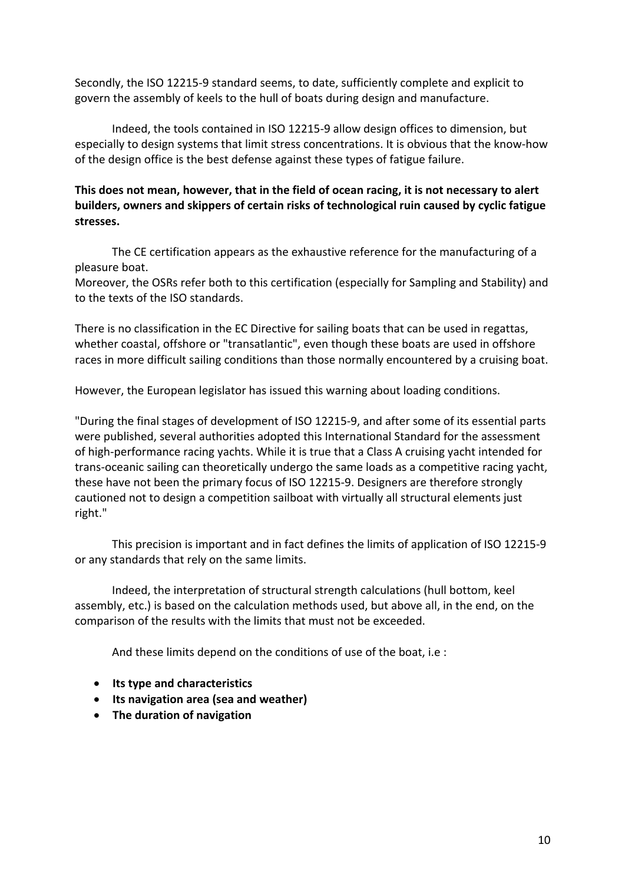Secondly, the ISO 12215-9 standard seems, to date, sufficiently complete and explicit to govern the assembly of keels to the hull of boats during design and manufacture.

Indeed, the tools contained in ISO 12215-9 allow design offices to dimension, but especially to design systems that limit stress concentrations. It is obvious that the know-how of the design office is the best defense against these types of fatigue failure.

## **This does not mean, however, that in the field of ocean racing, it is not necessary to alert builders, owners and skippers of certain risks of technological ruin caused by cyclic fatigue stresses.**

The CE certification appears as the exhaustive reference for the manufacturing of a pleasure boat.

Moreover, the OSRs refer both to this certification (especially for Sampling and Stability) and to the texts of the ISO standards.

There is no classification in the EC Directive for sailing boats that can be used in regattas, whether coastal, offshore or "transatlantic", even though these boats are used in offshore races in more difficult sailing conditions than those normally encountered by a cruising boat.

However, the European legislator has issued this warning about loading conditions.

"During the final stages of development of ISO 12215-9, and after some of its essential parts were published, several authorities adopted this International Standard for the assessment of high-performance racing yachts. While it is true that a Class A cruising yacht intended for trans-oceanic sailing can theoretically undergo the same loads as a competitive racing yacht, these have not been the primary focus of ISO 12215-9. Designers are therefore strongly cautioned not to design a competition sailboat with virtually all structural elements just right."

This precision is important and in fact defines the limits of application of ISO 12215-9 or any standards that rely on the same limits.

Indeed, the interpretation of structural strength calculations (hull bottom, keel assembly, etc.) is based on the calculation methods used, but above all, in the end, on the comparison of the results with the limits that must not be exceeded.

And these limits depend on the conditions of use of the boat, i.e :

- **Its type and characteristics**
- **Its navigation area (sea and weather)**
- **The duration of navigation**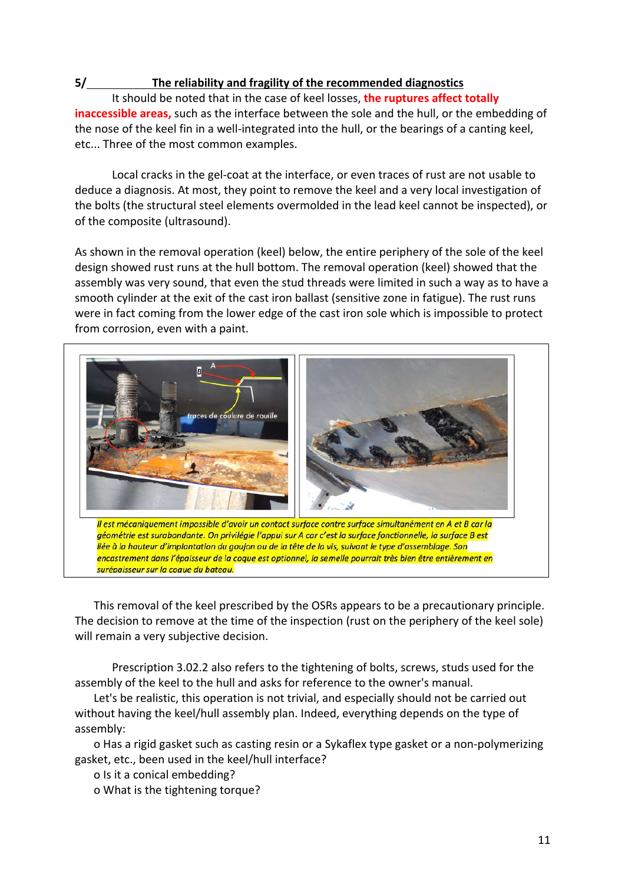## **5/ The reliability and fragility of the recommended diagnostics**

It should be noted that in the case of keel losses, **the ruptures affect totally inaccessible areas,** such as the interface between the sole and the hull, or the embedding of the nose of the keel fin in a well-integrated into the hull, or the bearings of a canting keel, etc... Three of the most common examples.

Local cracks in the gel-coat at the interface, or even traces of rust are not usable to deduce a diagnosis. At most, they point to remove the keel and a very local investigation of the bolts (the structural steel elements overmolded in the lead keel cannot be inspected), or of the composite (ultrasound).

As shown in the removal operation (keel) below, the entire periphery of the sole of the keel design showed rust runs at the hull bottom. The removal operation (keel) showed that the assembly was very sound, that even the stud threads were limited in such a way as to have a smooth cylinder at the exit of the cast iron ballast (sensitive zone in fatigue). The rust runs were in fact coming from the lower edge of the cast iron sole which is impossible to protect from corrosion, even with a paint.



This removal of the keel prescribed by the OSRs appears to be a precautionary principle. The decision to remove at the time of the inspection (rust on the periphery of the keel sole) will remain a very subjective decision.

Prescription 3.02.2 also refers to the tightening of bolts, screws, studs used for the assembly of the keel to the hull and asks for reference to the owner's manual.

Let's be realistic, this operation is not trivial, and especially should not be carried out without having the keel/hull assembly plan. Indeed, everything depends on the type of assembly:

o Has a rigid gasket such as casting resin or a Sykaflex type gasket or a non-polymerizing gasket, etc., been used in the keel/hull interface?

o Is it a conical embedding?

o What is the tightening torque?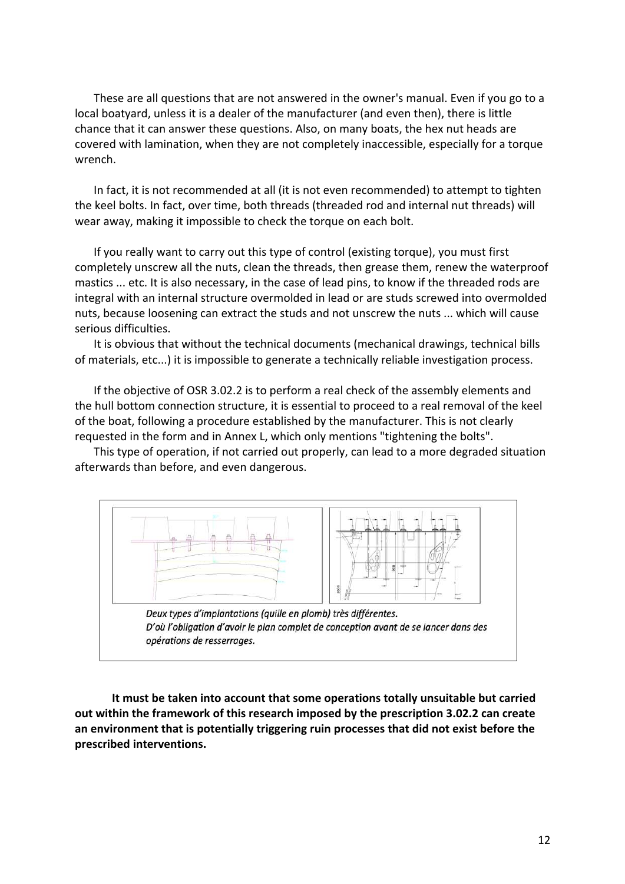These are all questions that are not answered in the owner's manual. Even if you go to a local boatyard, unless it is a dealer of the manufacturer (and even then), there is little chance that it can answer these questions. Also, on many boats, the hex nut heads are covered with lamination, when they are not completely inaccessible, especially for a torque wrench.

In fact, it is not recommended at all (it is not even recommended) to attempt to tighten the keel bolts. In fact, over time, both threads (threaded rod and internal nut threads) will wear away, making it impossible to check the torque on each bolt.

If you really want to carry out this type of control (existing torque), you must first completely unscrew all the nuts, clean the threads, then grease them, renew the waterproof mastics ... etc. It is also necessary, in the case of lead pins, to know if the threaded rods are integral with an internal structure overmolded in lead or are studs screwed into overmolded nuts, because loosening can extract the studs and not unscrew the nuts ... which will cause serious difficulties.

It is obvious that without the technical documents (mechanical drawings, technical bills of materials, etc...) it is impossible to generate a technically reliable investigation process.

If the objective of OSR 3.02.2 is to perform a real check of the assembly elements and the hull bottom connection structure, it is essential to proceed to a real removal of the keel of the boat, following a procedure established by the manufacturer. This is not clearly requested in the form and in Annex L, which only mentions "tightening the bolts".

This type of operation, if not carried out properly, can lead to a more degraded situation afterwards than before, and even dangerous.



**It must be taken into account that some operations totally unsuitable but carried out within the framework of this research imposed by the prescription 3.02.2 can create an environment that is potentially triggering ruin processes that did not exist before the prescribed interventions.**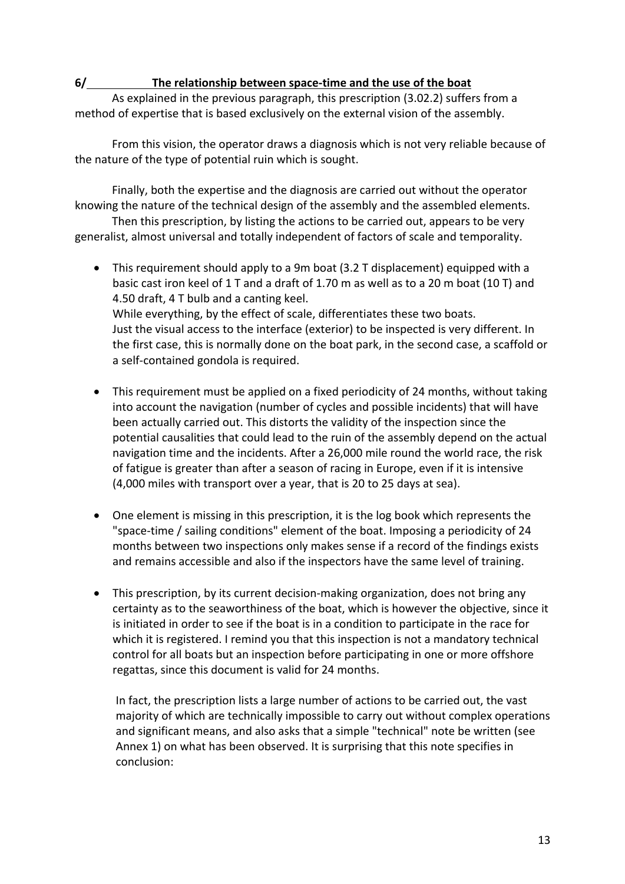## **6/ The relationship between space-time and the use of the boat**

As explained in the previous paragraph, this prescription (3.02.2) suffers from a method of expertise that is based exclusively on the external vision of the assembly.

From this vision, the operator draws a diagnosis which is not very reliable because of the nature of the type of potential ruin which is sought.

Finally, both the expertise and the diagnosis are carried out without the operator knowing the nature of the technical design of the assembly and the assembled elements.

Then this prescription, by listing the actions to be carried out, appears to be very generalist, almost universal and totally independent of factors of scale and temporality.

- This requirement should apply to a 9m boat (3.2 T displacement) equipped with a basic cast iron keel of 1 T and a draft of 1.70 m as well as to a 20 m boat (10 T) and 4.50 draft, 4 T bulb and a canting keel. While everything, by the effect of scale, differentiates these two boats. Just the visual access to the interface (exterior) to be inspected is very different. In the first case, this is normally done on the boat park, in the second case, a scaffold or a self-contained gondola is required.
- This requirement must be applied on a fixed periodicity of 24 months, without taking into account the navigation (number of cycles and possible incidents) that will have been actually carried out. This distorts the validity of the inspection since the potential causalities that could lead to the ruin of the assembly depend on the actual navigation time and the incidents. After a 26,000 mile round the world race, the risk of fatigue is greater than after a season of racing in Europe, even if it is intensive (4,000 miles with transport over a year, that is 20 to 25 days at sea).
- One element is missing in this prescription, it is the log book which represents the "space-time / sailing conditions" element of the boat. Imposing a periodicity of 24 months between two inspections only makes sense if a record of the findings exists and remains accessible and also if the inspectors have the same level of training.
- This prescription, by its current decision-making organization, does not bring any certainty as to the seaworthiness of the boat, which is however the objective, since it is initiated in order to see if the boat is in a condition to participate in the race for which it is registered. I remind you that this inspection is not a mandatory technical control for all boats but an inspection before participating in one or more offshore regattas, since this document is valid for 24 months.

In fact, the prescription lists a large number of actions to be carried out, the vast majority of which are technically impossible to carry out without complex operations and significant means, and also asks that a simple "technical" note be written (see Annex 1) on what has been observed. It is surprising that this note specifies in conclusion: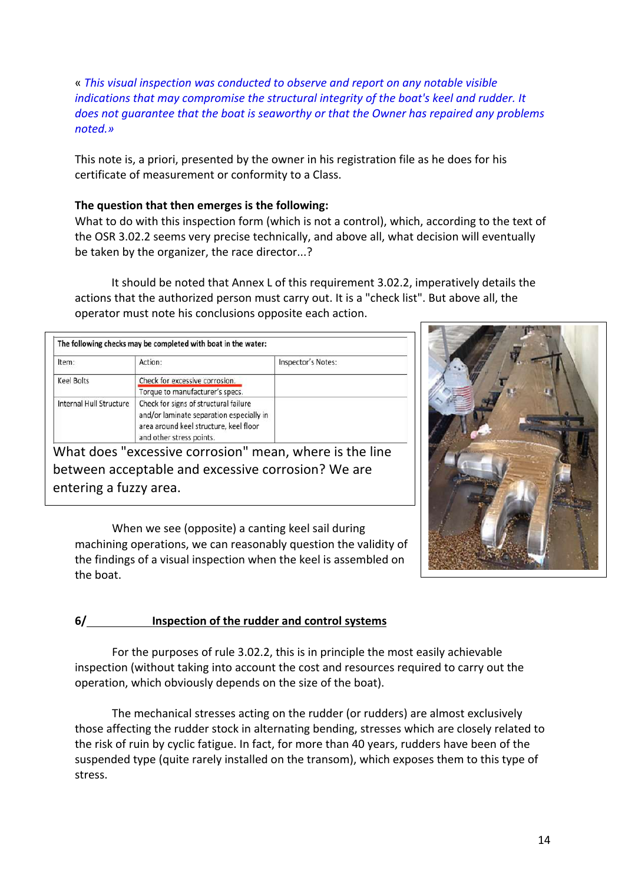« *This visual inspection was conducted to observe and report on any notable visible indications that may compromise the structural integrity of the boat's keel and rudder. It does not guarantee that the boat is seaworthy or that the Owner has repaired any problems noted.»*

This note is, a priori, presented by the owner in his registration file as he does for his certificate of measurement or conformity to a Class.

## **The question that then emerges is the following:**

What to do with this inspection form (which is not a control), which, according to the text of the OSR 3.02.2 seems very precise technically, and above all, what decision will eventually be taken by the organizer, the race director...?

It should be noted that Annex L of this requirement 3.02.2, imperatively details the actions that the authorized person must carry out. It is a "check list". But above all, the operator must note his conclusions opposite each action.

|                         | The following checks may be completed with boat in the water:                                                                                           |                    |
|-------------------------|---------------------------------------------------------------------------------------------------------------------------------------------------------|--------------------|
| Item:                   | Action:                                                                                                                                                 | Inspector's Notes: |
| <b>Keel Bolts</b>       | Check for excessive corrosion.                                                                                                                          |                    |
|                         | Torque to manufacturer's specs.                                                                                                                         |                    |
| Internal Hull Structure | Check for signs of structural failure<br>and/or laminate separation especially in<br>area around keel structure, keel floor<br>and other stress points. |                    |

What does "excessive corrosion" mean, where is the line between acceptable and excessive corrosion? We are entering a fuzzy area.

When we see (opposite) a canting keel sail during machining operations, we can reasonably question the validity of the findings of a visual inspection when the keel is assembled on the boat.



# **6/ Inspection of the rudder and control systems**

For the purposes of rule 3.02.2, this is in principle the most easily achievable inspection (without taking into account the cost and resources required to carry out the operation, which obviously depends on the size of the boat).

The mechanical stresses acting on the rudder (or rudders) are almost exclusively those affecting the rudder stock in alternating bending, stresses which are closely related to the risk of ruin by cyclic fatigue. In fact, for more than 40 years, rudders have been of the suspended type (quite rarely installed on the transom), which exposes them to this type of stress.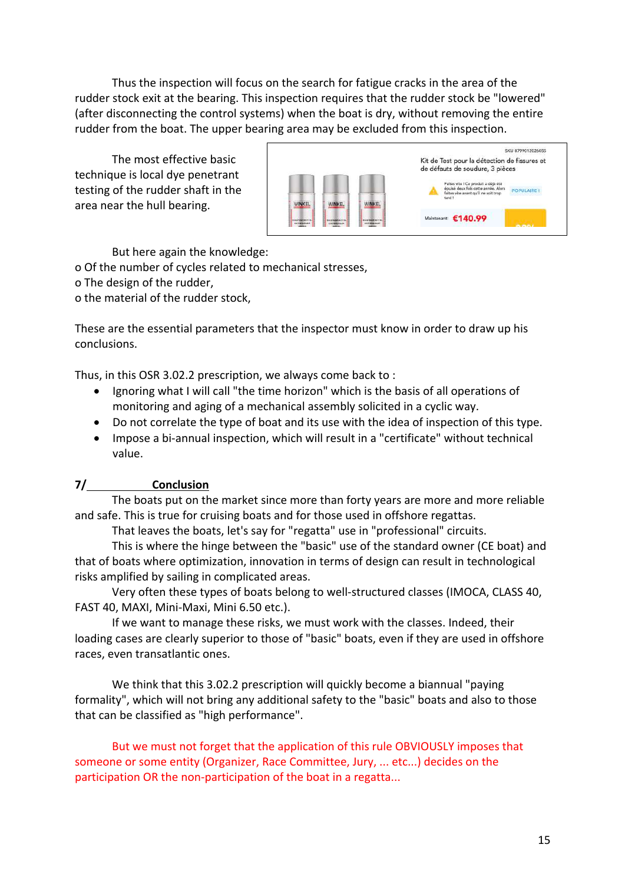Thus the inspection will focus on the search for fatigue cracks in the area of the rudder stock exit at the bearing. This inspection requires that the rudder stock be "lowered" (after disconnecting the control systems) when the boat is dry, without removing the entire rudder from the boat. The upper bearing area may be excluded from this inspection.

The most effective basic technique is local dye penetrant testing of the rudder shaft in the area near the hull bearing.



But here again the knowledge:

o Of the number of cycles related to mechanical stresses,

o The design of the rudder,

o the material of the rudder stock,

These are the essential parameters that the inspector must know in order to draw up his conclusions.

Thus, in this OSR 3.02.2 prescription, we always come back to :

- Ignoring what I will call "the time horizon" which is the basis of all operations of monitoring and aging of a mechanical assembly solicited in a cyclic way.
- Do not correlate the type of boat and its use with the idea of inspection of this type.
- Impose a bi-annual inspection, which will result in a "certificate" without technical value.

# **7/ Conclusion**

The boats put on the market since more than forty years are more and more reliable and safe. This is true for cruising boats and for those used in offshore regattas.

That leaves the boats, let's say for "regatta" use in "professional" circuits.

This is where the hinge between the "basic" use of the standard owner (CE boat) and that of boats where optimization, innovation in terms of design can result in technological risks amplified by sailing in complicated areas.

Very often these types of boats belong to well-structured classes (IMOCA, CLASS 40, FAST 40, MAXI, Mini-Maxi, Mini 6.50 etc.).

If we want to manage these risks, we must work with the classes. Indeed, their loading cases are clearly superior to those of "basic" boats, even if they are used in offshore races, even transatlantic ones.

We think that this 3.02.2 prescription will quickly become a biannual "paying formality", which will not bring any additional safety to the "basic" boats and also to those that can be classified as "high performance".

But we must not forget that the application of this rule OBVIOUSLY imposes that someone or some entity (Organizer, Race Committee, Jury, ... etc...) decides on the participation OR the non-participation of the boat in a regatta...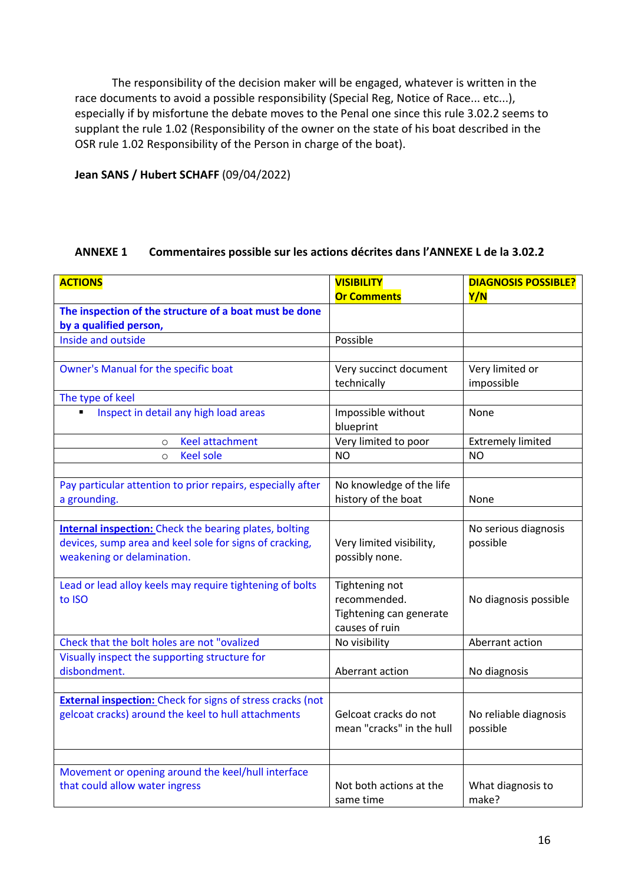The responsibility of the decision maker will be engaged, whatever is written in the race documents to avoid a possible responsibility (Special Reg, Notice of Race... etc...), especially if by misfortune the debate moves to the Penal one since this rule 3.02.2 seems to supplant the rule 1.02 (Responsibility of the owner on the state of his boat described in the OSR rule 1.02 Responsibility of the Person in charge of the boat).

**Jean SANS / Hubert SCHAFF** (09/04/2022)

## **ANNEXE 1 Commentaires possible sur les actions décrites dans l'ANNEXE L de la 3.02.2**

| <b>ACTIONS</b>                                                    | <b>VISIBILITY</b>         | <b>DIAGNOSIS POSSIBLE?</b> |
|-------------------------------------------------------------------|---------------------------|----------------------------|
|                                                                   | <b>Or Comments</b>        | Y/N                        |
| The inspection of the structure of a boat must be done            |                           |                            |
| by a qualified person,                                            |                           |                            |
| Inside and outside                                                | Possible                  |                            |
|                                                                   |                           |                            |
| Owner's Manual for the specific boat                              | Very succinct document    | Very limited or            |
|                                                                   | technically               | impossible                 |
| The type of keel                                                  |                           |                            |
| Inspect in detail any high load areas<br>٠                        | Impossible without        | None                       |
|                                                                   | blueprint                 |                            |
| <b>Keel attachment</b><br>$\circ$                                 | Very limited to poor      | <b>Extremely limited</b>   |
| <b>Keel sole</b><br>$\circ$                                       | <b>NO</b>                 | <b>NO</b>                  |
|                                                                   |                           |                            |
| Pay particular attention to prior repairs, especially after       | No knowledge of the life  |                            |
| a grounding.                                                      | history of the boat       | None                       |
|                                                                   |                           |                            |
| <b>Internal inspection:</b> Check the bearing plates, bolting     |                           | No serious diagnosis       |
| devices, sump area and keel sole for signs of cracking,           | Very limited visibility,  | possible                   |
| weakening or delamination.                                        | possibly none.            |                            |
|                                                                   |                           |                            |
| Lead or lead alloy keels may require tightening of bolts          | Tightening not            |                            |
| to ISO                                                            | recommended.              | No diagnosis possible      |
|                                                                   | Tightening can generate   |                            |
|                                                                   | causes of ruin            |                            |
| Check that the bolt holes are not "ovalized                       | No visibility             | Aberrant action            |
| Visually inspect the supporting structure for                     |                           |                            |
| disbondment.                                                      | Aberrant action           | No diagnosis               |
|                                                                   |                           |                            |
| <b>External inspection:</b> Check for signs of stress cracks (not |                           |                            |
| gelcoat cracks) around the keel to hull attachments               | Gelcoat cracks do not     | No reliable diagnosis      |
|                                                                   | mean "cracks" in the hull | possible                   |
|                                                                   |                           |                            |
|                                                                   |                           |                            |
| Movement or opening around the keel/hull interface                |                           |                            |
| that could allow water ingress                                    | Not both actions at the   | What diagnosis to          |
|                                                                   | same time                 | make?                      |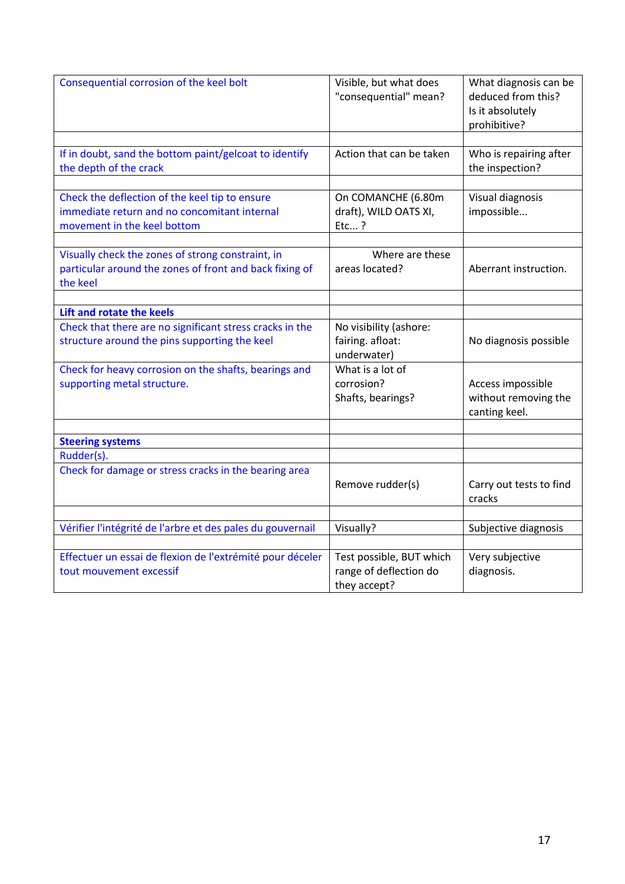| Consequential corrosion of the keel bolt                                             | Visible, but what does<br>"consequential" mean?    | What diagnosis can be<br>deduced from this?<br>Is it absolutely<br>prohibitive? |
|--------------------------------------------------------------------------------------|----------------------------------------------------|---------------------------------------------------------------------------------|
|                                                                                      | Action that can be taken                           |                                                                                 |
| If in doubt, sand the bottom paint/gelcoat to identify<br>the depth of the crack     |                                                    | Who is repairing after<br>the inspection?                                       |
|                                                                                      |                                                    |                                                                                 |
| Check the deflection of the keel tip to ensure                                       | On COMANCHE (6.80m                                 | Visual diagnosis                                                                |
| immediate return and no concomitant internal                                         | draft), WILD OATS XI,                              | impossible                                                                      |
| movement in the keel bottom                                                          | Etc?                                               |                                                                                 |
|                                                                                      |                                                    |                                                                                 |
| Visually check the zones of strong constraint, in                                    | Where are these                                    |                                                                                 |
| particular around the zones of front and back fixing of<br>the keel                  | areas located?                                     | Aberrant instruction.                                                           |
|                                                                                      |                                                    |                                                                                 |
| Lift and rotate the keels                                                            |                                                    |                                                                                 |
| Check that there are no significant stress cracks in the                             | No visibility (ashore:                             |                                                                                 |
| structure around the pins supporting the keel                                        | fairing. afloat:                                   | No diagnosis possible                                                           |
|                                                                                      | underwater)                                        |                                                                                 |
| Check for heavy corrosion on the shafts, bearings and                                | What is a lot of                                   |                                                                                 |
| supporting metal structure.                                                          | corrosion?                                         | Access impossible                                                               |
|                                                                                      | Shafts, bearings?                                  | without removing the                                                            |
|                                                                                      |                                                    | canting keel.                                                                   |
| <b>Steering systems</b>                                                              |                                                    |                                                                                 |
| Rudder(s).                                                                           |                                                    |                                                                                 |
| Check for damage or stress cracks in the bearing area                                |                                                    |                                                                                 |
|                                                                                      | Remove rudder(s)                                   | Carry out tests to find                                                         |
|                                                                                      |                                                    | cracks                                                                          |
|                                                                                      |                                                    |                                                                                 |
| Vérifier l'intégrité de l'arbre et des pales du gouvernail                           | Visually?                                          | Subjective diagnosis                                                            |
|                                                                                      |                                                    |                                                                                 |
| Effectuer un essai de flexion de l'extrémité pour déceler<br>tout mouvement excessif | Test possible, BUT which<br>range of deflection do | Very subjective<br>diagnosis.                                                   |
|                                                                                      | they accept?                                       |                                                                                 |